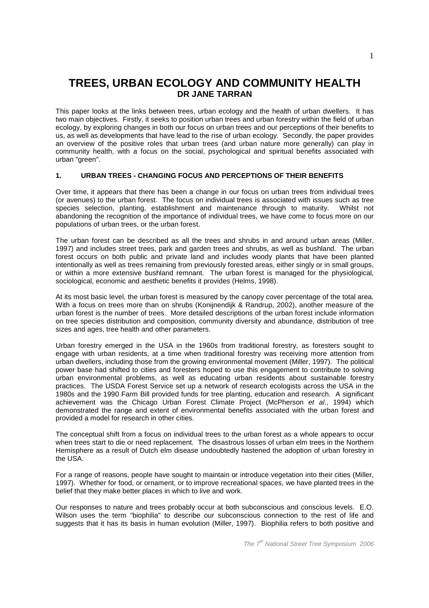# **TREES, URBAN ECOLOGY AND COMMUNITY HEALTH DR JANE TARRAN**

This paper looks at the links between trees, urban ecology and the health of urban dwellers. It has two main objectives. Firstly, it seeks to position urban trees and urban forestry within the field of urban ecology, by exploring changes in both our focus on urban trees and our perceptions of their benefits to us, as well as developments that have lead to the rise of urban ecology. Secondly, the paper provides an overview of the positive roles that urban trees (and urban nature more generally) can play in community health, with a focus on the social, psychological and spiritual benefits associated with urban "green".

## **1. URBAN TREES - CHANGING FOCUS AND PERCEPTIONS OF THEIR BENEFITS**

Over time, it appears that there has been a change in our focus on urban trees from individual trees (or avenues) to the urban forest. The focus on individual trees is associated with issues such as tree species selection, planting, establishment and maintenance through to maturity. Whilst not abandoning the recognition of the importance of individual trees, we have come to focus more on our populations of urban trees, or the urban forest.

The urban forest can be described as all the trees and shrubs in and around urban areas (Miller, 1997) and includes street trees, park and garden trees and shrubs, as well as bushland. The urban forest occurs on both public and private land and includes woody plants that have been planted intentionally as well as trees remaining from previously forested areas, either singly or in small groups, or within a more extensive bushland remnant. The urban forest is managed for the physiological, sociological, economic and aesthetic benefits it provides (Helms, 1998).

At its most basic level, the urban forest is measured by the canopy cover percentage of the total area. With a focus on trees more than on shrubs (Konijnendijk & Randrup, 2002), another measure of the urban forest is the number of trees. More detailed descriptions of the urban forest include information on tree species distribution and composition, community diversity and abundance, distribution of tree sizes and ages, tree health and other parameters.

Urban forestry emerged in the USA in the 1960s from traditional forestry, as foresters sought to engage with urban residents, at a time when traditional forestry was receiving more attention from urban dwellers, including those from the growing environmental movement (Miller, 1997). The political power base had shifted to cities and foresters hoped to use this engagement to contribute to solving urban environmental problems, as well as educating urban residents about sustainable forestry practices. The USDA Forest Service set up a network of research ecologists across the USA in the 1980s and the 1990 Farm Bill provided funds for tree planting, education and research. A significant achievement was the Chicago Urban Forest Climate Project (McPherson et al., 1994) which demonstrated the range and extent of environmental benefits associated with the urban forest and provided a model for research in other cities.

The conceptual shift from a focus on individual trees to the urban forest as a whole appears to occur when trees start to die or need replacement. The disastrous losses of urban elm trees in the Northern Hemisphere as a result of Dutch elm disease undoubtedly hastened the adoption of urban forestry in the USA.

For a range of reasons, people have sought to maintain or introduce vegetation into their cities (Miller, 1997). Whether for food, or ornament, or to improve recreational spaces, we have planted trees in the belief that they make better places in which to live and work.

Our responses to nature and trees probably occur at both subconscious and conscious levels. E.O. Wilson uses the term "biophilia" to describe our subconscious connection to the rest of life and suggests that it has its basis in human evolution (Miller, 1997). Biophilia refers to both positive and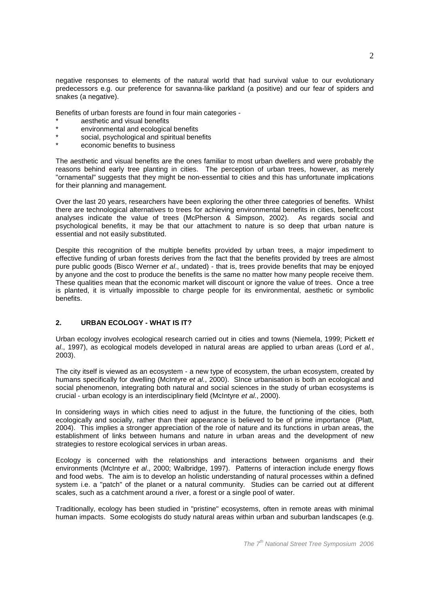negative responses to elements of the natural world that had survival value to our evolutionary predecessors e.g. our preference for savanna-like parkland (a positive) and our fear of spiders and snakes (a negative).

Benefits of urban forests are found in four main categories -

- aesthetic and visual benefits
- environmental and ecological benefits
- social, psychological and spiritual benefits
- economic benefits to business

The aesthetic and visual benefits are the ones familiar to most urban dwellers and were probably the reasons behind early tree planting in cities. The perception of urban trees, however, as merely "ornamental" suggests that they might be non-essential to cities and this has unfortunate implications for their planning and management.

Over the last 20 years, researchers have been exploring the other three categories of benefits. Whilst there are technological alternatives to trees for achieving environmental benefits in cities, benefit:cost analyses indicate the value of trees (McPherson & Simpson, 2002). As regards social and psychological benefits, it may be that our attachment to nature is so deep that urban nature is essential and not easily substituted.

Despite this recognition of the multiple benefits provided by urban trees, a major impediment to effective funding of urban forests derives from the fact that the benefits provided by trees are almost pure public goods (Bisco Werner et al., undated) - that is, trees provide benefits that may be enjoyed by anyone and the cost to produce the benefits is the same no matter how many people receive them. These qualities mean that the economic market will discount or ignore the value of trees. Once a tree is planted, it is virtually impossible to charge people for its environmental, aesthetic or symbolic benefits.

## **2. URBAN ECOLOGY - WHAT IS IT?**

Urban ecology involves ecological research carried out in cities and towns (Niemela, 1999; Pickett et al., 1997), as ecological models developed in natural areas are applied to urban areas (Lord et al., 2003).

The city itself is viewed as an ecosystem - a new type of ecosystem, the urban ecosystem, created by humans specifically for dwelling (McIntyre et al., 2000). Since urbanisation is both an ecological and social phenomenon, integrating both natural and social sciences in the study of urban ecosystems is crucial - urban ecology is an interdisciplinary field (McIntyre et al., 2000).

In considering ways in which cities need to adjust in the future, the functioning of the cities, both ecologically and socially, rather than their appearance is believed to be of prime importance (Platt, 2004). This implies a stronger appreciation of the role of nature and its functions in urban areas, the establishment of links between humans and nature in urban areas and the development of new strategies to restore ecological services in urban areas.

Ecology is concerned with the relationships and interactions between organisms and their environments (McIntyre et al., 2000; Walbridge, 1997). Patterns of interaction include energy flows and food webs. The aim is to develop an holistic understanding of natural processes within a defined system i.e. a "patch" of the planet or a natural community. Studies can be carried out at different scales, such as a catchment around a river, a forest or a single pool of water.

Traditionally, ecology has been studied in "pristine" ecosystems, often in remote areas with minimal human impacts. Some ecologists do study natural areas within urban and suburban landscapes (e.g.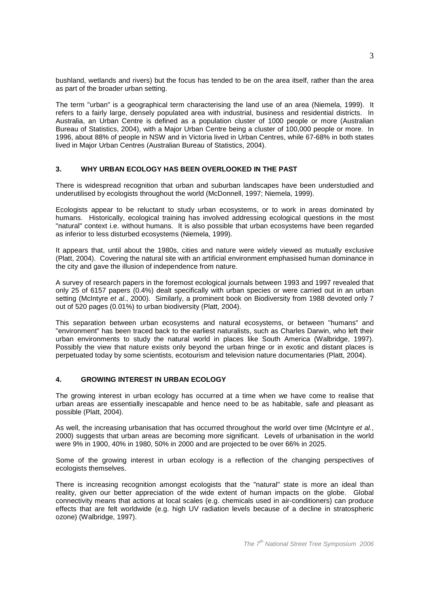bushland, wetlands and rivers) but the focus has tended to be on the area itself, rather than the area as part of the broader urban setting.

The term "urban" is a geographical term characterising the land use of an area (Niemela, 1999). It refers to a fairly large, densely populated area with industrial, business and residential districts. In Australia, an Urban Centre is defined as a population cluster of 1000 people or more (Australian Bureau of Statistics, 2004), with a Major Urban Centre being a cluster of 100,000 people or more. In 1996, about 88% of people in NSW and in Victoria lived in Urban Centres, while 67-68% in both states lived in Major Urban Centres (Australian Bureau of Statistics, 2004).

#### **3. WHY URBAN ECOLOGY HAS BEEN OVERLOOKED IN THE PAST**

There is widespread recognition that urban and suburban landscapes have been understudied and underutilised by ecologists throughout the world (McDonnell, 1997; Niemela, 1999).

Ecologists appear to be reluctant to study urban ecosystems, or to work in areas dominated by humans. Historically, ecological training has involved addressing ecological questions in the most "natural" context i.e. without humans. It is also possible that urban ecosystems have been regarded as inferior to less disturbed ecosystems (Niemela, 1999).

It appears that, until about the 1980s, cities and nature were widely viewed as mutually exclusive (Platt, 2004). Covering the natural site with an artificial environment emphasised human dominance in the city and gave the illusion of independence from nature.

A survey of research papers in the foremost ecological journals between 1993 and 1997 revealed that only 25 of 6157 papers (0.4%) dealt specifically with urban species or were carried out in an urban setting (McIntyre et al., 2000). Similarly, a prominent book on Biodiversity from 1988 devoted only 7 out of 520 pages (0.01%) to urban biodiversity (Platt, 2004).

This separation between urban ecosystems and natural ecosystems, or between "humans" and "environment" has been traced back to the earliest naturalists, such as Charles Darwin, who left their urban environments to study the natural world in places like South America (Walbridge, 1997). Possibly the view that nature exists only beyond the urban fringe or in exotic and distant places is perpetuated today by some scientists, ecotourism and television nature documentaries (Platt, 2004).

#### **4. GROWING INTEREST IN URBAN ECOLOGY**

The growing interest in urban ecology has occurred at a time when we have come to realise that urban areas are essentially inescapable and hence need to be as habitable, safe and pleasant as possible (Platt, 2004).

As well, the increasing urbanisation that has occurred throughout the world over time (McIntyre et al., 2000) suggests that urban areas are becoming more significant. Levels of urbanisation in the world were 9% in 1900, 40% in 1980, 50% in 2000 and are projected to be over 66% in 2025.

Some of the growing interest in urban ecology is a reflection of the changing perspectives of ecologists themselves.

There is increasing recognition amongst ecologists that the "natural" state is more an ideal than reality, given our better appreciation of the wide extent of human impacts on the globe. Global connectivity means that actions at local scales (e.g. chemicals used in air-conditioners) can produce effects that are felt worldwide (e.g. high UV radiation levels because of a decline in stratospheric ozone) (Walbridge, 1997).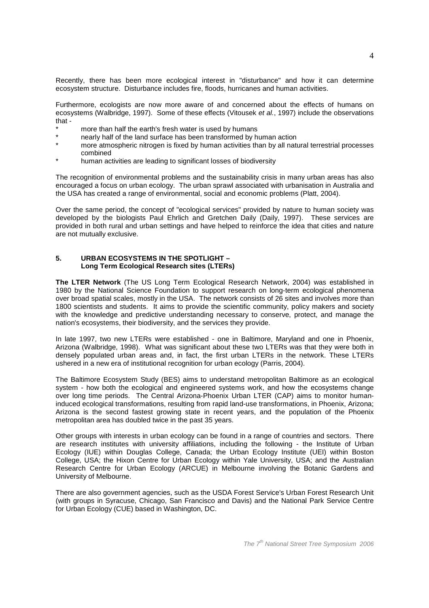Recently, there has been more ecological interest in "disturbance" and how it can determine ecosystem structure. Disturbance includes fire, floods, hurricanes and human activities.

Furthermore, ecologists are now more aware of and concerned about the effects of humans on ecosystems (Walbridge, 1997). Some of these effects (Vitousek et al., 1997) include the observations that -

- more than half the earth's fresh water is used by humans
- nearly half of the land surface has been transformed by human action
- more atmospheric nitrogen is fixed by human activities than by all natural terrestrial processes combined
- human activities are leading to significant losses of biodiversity

The recognition of environmental problems and the sustainability crisis in many urban areas has also encouraged a focus on urban ecology. The urban sprawl associated with urbanisation in Australia and the USA has created a range of environmental, social and economic problems (Platt, 2004).

Over the same period, the concept of "ecological services" provided by nature to human society was developed by the biologists Paul Ehrlich and Gretchen Daily (Daily, 1997). These services are provided in both rural and urban settings and have helped to reinforce the idea that cities and nature are not mutually exclusive.

## **5. URBAN ECOSYSTEMS IN THE SPOTLIGHT – Long Term Ecological Research sites (LTERs)**

**The LTER Network** (The US Long Term Ecological Research Network, 2004) was established in 1980 by the National Science Foundation to support research on long-term ecological phenomena over broad spatial scales, mostly in the USA. The network consists of 26 sites and involves more than 1800 scientists and students. It aims to provide the scientific community, policy makers and society with the knowledge and predictive understanding necessary to conserve, protect, and manage the nation's ecosystems, their biodiversity, and the services they provide.

In late 1997, two new LTERs were established - one in Baltimore, Maryland and one in Phoenix, Arizona (Walbridge, 1998). What was significant about these two LTERs was that they were both in densely populated urban areas and, in fact, the first urban LTERs in the network. These LTERs ushered in a new era of institutional recognition for urban ecology (Parris, 2004).

The Baltimore Ecosystem Study (BES) aims to understand metropolitan Baltimore as an ecological system - how both the ecological and engineered systems work, and how the ecosystems change over long time periods. The Central Arizona-Phoenix Urban LTER (CAP) aims to monitor humaninduced ecological transformations, resulting from rapid land-use transformations, in Phoenix, Arizona; Arizona is the second fastest growing state in recent years, and the population of the Phoenix metropolitan area has doubled twice in the past 35 years.

Other groups with interests in urban ecology can be found in a range of countries and sectors. There are research institutes with university affiliations, including the following - the Institute of Urban Ecology (IUE) within Douglas College, Canada; the Urban Ecology Institute (UEI) within Boston College, USA; the Hixon Centre for Urban Ecology within Yale University, USA; and the Australian Research Centre for Urban Ecology (ARCUE) in Melbourne involving the Botanic Gardens and University of Melbourne.

There are also government agencies, such as the USDA Forest Service's Urban Forest Research Unit (with groups in Syracuse, Chicago, San Francisco and Davis) and the National Park Service Centre for Urban Ecology (CUE) based in Washington, DC.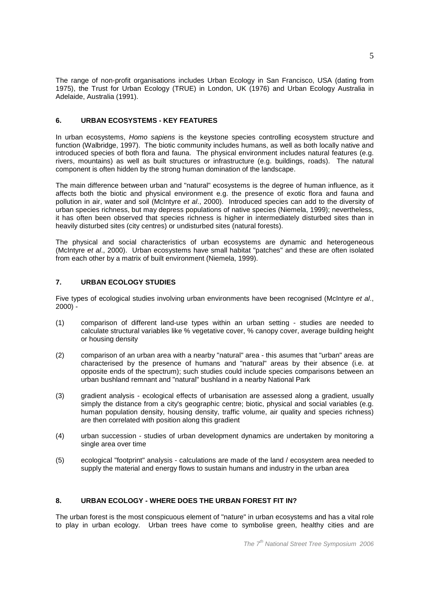The range of non-profit organisations includes Urban Ecology in San Francisco, USA (dating from 1975), the Trust for Urban Ecology (TRUE) in London, UK (1976) and Urban Ecology Australia in Adelaide, Australia (1991).

## **6. URBAN ECOSYSTEMS - KEY FEATURES**

In urban ecosystems, Homo sapiens is the keystone species controlling ecosystem structure and function (Walbridge, 1997). The biotic community includes humans, as well as both locally native and introduced species of both flora and fauna. The physical environment includes natural features (e.g. rivers, mountains) as well as built structures or infrastructure (e.g. buildings, roads). The natural component is often hidden by the strong human domination of the landscape.

The main difference between urban and "natural" ecosystems is the degree of human influence, as it affects both the biotic and physical environment e.g. the presence of exotic flora and fauna and pollution in air, water and soil (McIntyre et al., 2000). Introduced species can add to the diversity of urban species richness, but may depress populations of native species (Niemela, 1999); nevertheless, it has often been observed that species richness is higher in intermediately disturbed sites than in heavily disturbed sites (city centres) or undisturbed sites (natural forests).

The physical and social characteristics of urban ecosystems are dynamic and heterogeneous (McIntyre et al., 2000). Urban ecosystems have small habitat "patches" and these are often isolated from each other by a matrix of built environment (Niemela, 1999).

## **7. URBAN ECOLOGY STUDIES**

Five types of ecological studies involving urban environments have been recognised (McIntyre et al.,  $2000$ ) -

- (1) comparison of different land-use types within an urban setting studies are needed to calculate structural variables like % vegetative cover, % canopy cover, average building height or housing density
- (2) comparison of an urban area with a nearby "natural" area this asumes that "urban" areas are characterised by the presence of humans and "natural" areas by their absence (i.e. at opposite ends of the spectrum); such studies could include species comparisons between an urban bushland remnant and "natural" bushland in a nearby National Park
- (3) gradient analysis ecological effects of urbanisation are assessed along a gradient, usually simply the distance from a city's geographic centre; biotic, physical and social variables (e.g. human population density, housing density, traffic volume, air quality and species richness) are then correlated with position along this gradient
- (4) urban succession studies of urban development dynamics are undertaken by monitoring a single area over time
- (5) ecological "footprint" analysis calculations are made of the land / ecosystem area needed to supply the material and energy flows to sustain humans and industry in the urban area

## **8. URBAN ECOLOGY - WHERE DOES THE URBAN FOREST FIT IN?**

The urban forest is the most conspicuous element of "nature" in urban ecosystems and has a vital role to play in urban ecology. Urban trees have come to symbolise green, healthy cities and are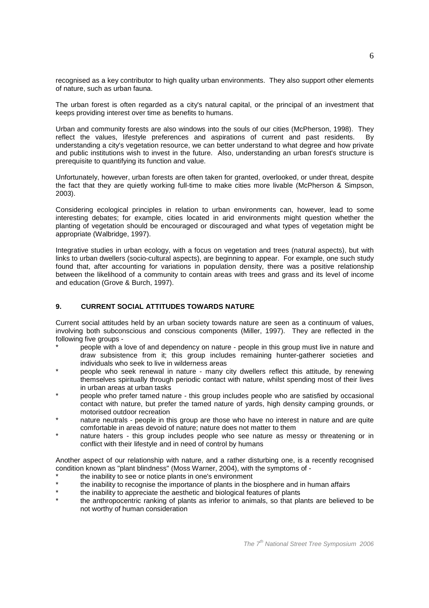recognised as a key contributor to high quality urban environments. They also support other elements of nature, such as urban fauna.

The urban forest is often regarded as a city's natural capital, or the principal of an investment that keeps providing interest over time as benefits to humans.

Urban and community forests are also windows into the souls of our cities (McPherson, 1998). They reflect the values, lifestyle preferences and aspirations of current and past residents. By understanding a city's vegetation resource, we can better understand to what degree and how private and public institutions wish to invest in the future. Also, understanding an urban forest's structure is prerequisite to quantifying its function and value.

Unfortunately, however, urban forests are often taken for granted, overlooked, or under threat, despite the fact that they are quietly working full-time to make cities more livable (McPherson & Simpson, 2003).

Considering ecological principles in relation to urban environments can, however, lead to some interesting debates; for example, cities located in arid environments might question whether the planting of vegetation should be encouraged or discouraged and what types of vegetation might be appropriate (Walbridge, 1997).

Integrative studies in urban ecology, with a focus on vegetation and trees (natural aspects), but with links to urban dwellers (socio-cultural aspects), are beginning to appear. For example, one such study found that, after accounting for variations in population density, there was a positive relationship between the likelihood of a community to contain areas with trees and grass and its level of income and education (Grove & Burch, 1997).

## **9. CURRENT SOCIAL ATTITUDES TOWARDS NATURE**

Current social attitudes held by an urban society towards nature are seen as a continuum of values, involving both subconscious and conscious components (Miller, 1997). They are reflected in the following five groups -

- people with a love of and dependency on nature people in this group must live in nature and draw subsistence from it; this group includes remaining hunter-gatherer societies and individuals who seek to live in wilderness areas
- people who seek renewal in nature many city dwellers reflect this attitude, by renewing themselves spiritually through periodic contact with nature, whilst spending most of their lives in urban areas at urban tasks
- people who prefer tamed nature this group includes people who are satisfied by occasional contact with nature, but prefer the tamed nature of yards, high density camping grounds, or motorised outdoor recreation
- nature neutrals people in this group are those who have no interest in nature and are quite comfortable in areas devoid of nature; nature does not matter to them
- hature haters this group includes people who see nature as messy or threatening or in conflict with their lifestyle and in need of control by humans

Another aspect of our relationship with nature, and a rather disturbing one, is a recently recognised condition known as "plant blindness" (Moss Warner, 2004), with the symptoms of -

- the inability to see or notice plants in one's environment
- the inability to recognise the importance of plants in the biosphere and in human affairs
- the inability to appreciate the aesthetic and biological features of plants
- the anthropocentric ranking of plants as inferior to animals, so that plants are believed to be not worthy of human consideration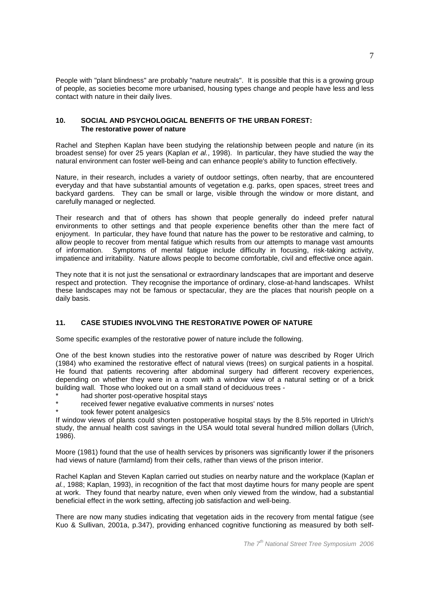People with "plant blindness" are probably "nature neutrals". It is possible that this is a growing group of people, as societies become more urbanised, housing types change and people have less and less contact with nature in their daily lives.

### **10. SOCIAL AND PSYCHOLOGICAL BENEFITS OF THE URBAN FOREST: The restorative power of nature**

Rachel and Stephen Kaplan have been studying the relationship between people and nature (in its broadest sense) for over 25 years (Kaplan et al., 1998). In particular, they have studied the way the natural environment can foster well-being and can enhance people's ability to function effectively.

Nature, in their research, includes a variety of outdoor settings, often nearby, that are encountered everyday and that have substantial amounts of vegetation e.g. parks, open spaces, street trees and backyard gardens. They can be small or large, visible through the window or more distant, and carefully managed or neglected.

Their research and that of others has shown that people generally do indeed prefer natural environments to other settings and that people experience benefits other than the mere fact of enjoyment. In particular, they have found that nature has the power to be restorative and calming, to allow people to recover from mental fatigue which results from our attempts to manage vast amounts of information. Symptoms of mental fatigue include difficulty in focusing, risk-taking activity, impatience and irritability. Nature allows people to become comfortable, civil and effective once again.

They note that it is not just the sensational or extraordinary landscapes that are important and deserve respect and protection. They recognise the importance of ordinary, close-at-hand landscapes. Whilst these landscapes may not be famous or spectacular, they are the places that nourish people on a daily basis.

## **11. CASE STUDIES INVOLVING THE RESTORATIVE POWER OF NATURE**

Some specific examples of the restorative power of nature include the following.

One of the best known studies into the restorative power of nature was described by Roger Ulrich (1984) who examined the restorative effect of natural views (trees) on surgical patients in a hospital. He found that patients recovering after abdominal surgery had different recovery experiences, depending on whether they were in a room with a window view of a natural setting or of a brick building wall. Those who looked out on a small stand of deciduous trees -

- had shorter post-operative hospital stays
- received fewer negative evaluative comments in nurses' notes
- took fewer potent analgesics

If window views of plants could shorten postoperative hospital stays by the 8.5% reported in Ulrich's study, the annual health cost savings in the USA would total several hundred million dollars (Ulrich, 1986).

Moore (1981) found that the use of health services by prisoners was significantly lower if the prisoners had views of nature (farmlamd) from their cells, rather than views of the prison interior.

Rachel Kaplan and Steven Kaplan carried out studies on nearby nature and the workplace (Kaplan et al., 1988; Kaplan, 1993), in recognition of the fact that most daytime hours for many people are spent at work. They found that nearby nature, even when only viewed from the window, had a substantial beneficial effect in the work setting, affecting job satisfaction and well-being.

There are now many studies indicating that vegetation aids in the recovery from mental fatigue (see Kuo & Sullivan, 2001a, p.347), providing enhanced cognitive functioning as measured by both self-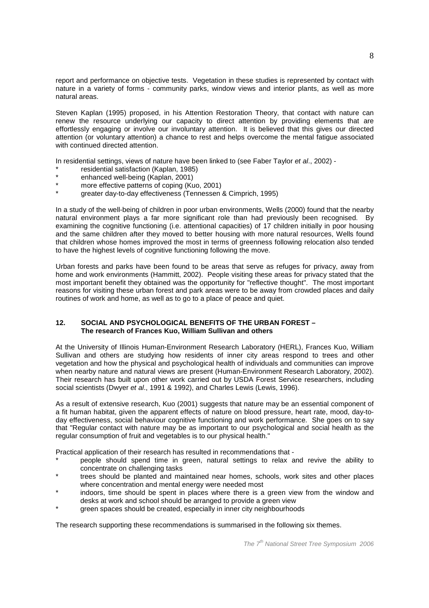report and performance on objective tests. Vegetation in these studies is represented by contact with nature in a variety of forms - community parks, window views and interior plants, as well as more natural areas.

Steven Kaplan (1995) proposed, in his Attention Restoration Theory, that contact with nature can renew the resource underlying our capacity to direct attention by providing elements that are effortlessly engaging or involve our involuntary attention. It is believed that this gives our directed attention (or voluntary attention) a chance to rest and helps overcome the mental fatigue associated with continued directed attention.

In residential settings, views of nature have been linked to (see Faber Taylor et al., 2002) -

- residential satisfaction (Kaplan, 1985)
- enhanced well-being (Kaplan, 2001)
- more effective patterns of coping (Kuo, 2001)
- greater day-to-day effectiveness (Tennessen & Cimprich, 1995)

In a study of the well-being of children in poor urban environments, Wells (2000) found that the nearby natural environment plays a far more significant role than had previously been recognised. By examining the cognitive functioning (i.e. attentional capacities) of 17 children initially in poor housing and the same children after they moved to better housing with more natural resources, Wells found that children whose homes improved the most in terms of greenness following relocation also tended to have the highest levels of cognitive functioning following the move.

Urban forests and parks have been found to be areas that serve as refuges for privacy, away from home and work environments (Hammitt, 2002). People visiting these areas for privacy stated that the most important benefit they obtained was the opportunity for "reflective thought". The most important reasons for visiting these urban forest and park areas were to be away from crowded places and daily routines of work and home, as well as to go to a place of peace and quiet.

#### **12. SOCIAL AND PSYCHOLOGICAL BENEFITS OF THE URBAN FOREST – The research of Frances Kuo, William Sullivan and others**

At the University of Illinois Human-Environment Research Laboratory (HERL), Frances Kuo, William Sullivan and others are studying how residents of inner city areas respond to trees and other vegetation and how the physical and psychological health of individuals and communities can improve when nearby nature and natural views are present (Human-Environment Research Laboratory, 2002). Their research has built upon other work carried out by USDA Forest Service researchers, including social scientists (Dwyer et al., 1991 & 1992), and Charles Lewis (Lewis, 1996).

As a result of extensive research, Kuo (2001) suggests that nature may be an essential component of a fit human habitat, given the apparent effects of nature on blood pressure, heart rate, mood, day-today effectiveness, social behaviour cognitive functioning and work performance. She goes on to say that "Regular contact with nature may be as important to our psychological and social health as the regular consumption of fruit and vegetables is to our physical health."

Practical application of their research has resulted in recommendations that -

- people should spend time in green, natural settings to relax and revive the ability to concentrate on challenging tasks
- trees should be planted and maintained near homes, schools, work sites and other places where concentration and mental energy were needed most
- indoors, time should be spent in places where there is a green view from the window and desks at work and school should be arranged to provide a green view
- green spaces should be created, especially in inner city neighbourhoods

The research supporting these recommendations is summarised in the following six themes.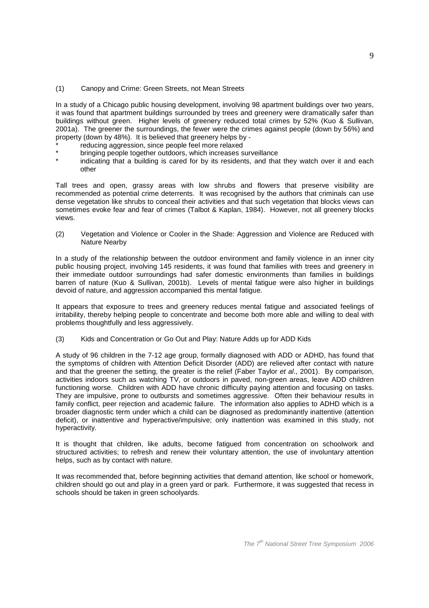#### (1) Canopy and Crime: Green Streets, not Mean Streets

In a study of a Chicago public housing development, involving 98 apartment buildings over two years, it was found that apartment buildings surrounded by trees and greenery were dramatically safer than buildings without green. Higher levels of greenery reduced total crimes by 52% (Kuo & Sullivan, 2001a). The greener the surroundings, the fewer were the crimes against people (down by 56%) and property (down by 48%). It is believed that greenery helps by -

- reducing aggression, since people feel more relaxed
- bringing people together outdoors, which increases surveillance
- indicating that a building is cared for by its residents, and that they watch over it and each other

Tall trees and open, grassy areas with low shrubs and flowers that preserve visibility are recommended as potential crime deterrents. It was recognised by the authors that criminals can use dense vegetation like shrubs to conceal their activities and that such vegetation that blocks views can sometimes evoke fear and fear of crimes (Talbot & Kaplan, 1984). However, not all greenery blocks views.

(2) Vegetation and Violence or Cooler in the Shade: Aggression and Violence are Reduced with Nature Nearby

In a study of the relationship between the outdoor environment and family violence in an inner city public housing project, involving 145 residents, it was found that families with trees and greenery in their immediate outdoor surroundings had safer domestic environments than families in buildings barren of nature (Kuo & Sullivan, 2001b). Levels of mental fatigue were also higher in buildings devoid of nature, and aggression accompanied this mental fatigue.

It appears that exposure to trees and greenery reduces mental fatigue and associated feelings of irritability, thereby helping people to concentrate and become both more able and willing to deal with problems thoughtfully and less aggressively.

(3) Kids and Concentration or Go Out and Play: Nature Adds up for ADD Kids

A study of 96 children in the 7-12 age group, formally diagnosed with ADD or ADHD, has found that the symptoms of children with Attention Deficit Disorder (ADD) are relieved after contact with nature and that the greener the setting, the greater is the relief (Faber Taylor et al., 2001). By comparison, activities indoors such as watching TV, or outdoors in paved, non-green areas, leave ADD children functioning worse. Children with ADD have chronic difficulty paying attention and focusing on tasks. They are impulsive, prone to outbursts and sometimes aggressive. Often their behaviour results in family conflict, peer rejection and academic failure. The information also applies to ADHD which is a broader diagnostic term under which a child can be diagnosed as predominantly inattentive (attention deficit), or inattentive and hyperactive/impulsive; only inattention was examined in this study, not hyperactivity.

It is thought that children, like adults, become fatigued from concentration on schoolwork and structured activities; to refresh and renew their voluntary attention, the use of involuntary attention helps, such as by contact with nature.

It was recommended that, before beginning activities that demand attention, like school or homework, children should go out and play in a green yard or park. Furthermore, it was suggested that recess in schools should be taken in green schoolyards.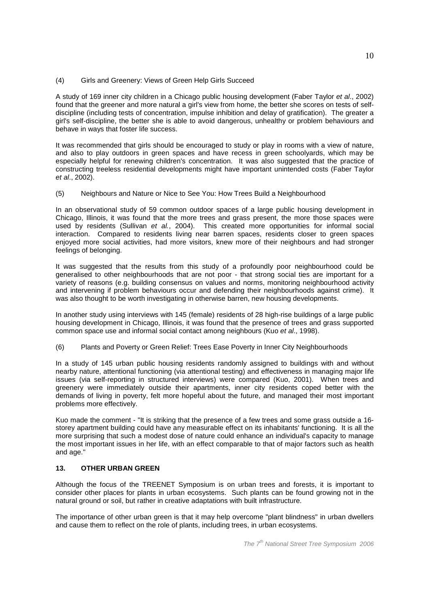(4) Girls and Greenery: Views of Green Help Girls Succeed

A study of 169 inner city children in a Chicago public housing development (Faber Taylor et al., 2002) found that the greener and more natural a girl's view from home, the better she scores on tests of selfdiscipline (including tests of concentration, impulse inhibition and delay of gratification). The greater a girl's self-discipline, the better she is able to avoid dangerous, unhealthy or problem behaviours and behave in ways that foster life success.

It was recommended that girls should be encouraged to study or play in rooms with a view of nature, and also to play outdoors in green spaces and have recess in green schoolyards, which may be especially helpful for renewing children's concentration. It was also suggested that the practice of constructing treeless residential developments might have important unintended costs (Faber Taylor et al., 2002).

(5) Neighbours and Nature or Nice to See You: How Trees Build a Neighbourhood

In an observational study of 59 common outdoor spaces of a large public housing development in Chicago, Illinois, it was found that the more trees and grass present, the more those spaces were used by residents (Sullivan et al., 2004). This created more opportunities for informal social interaction. Compared to residents living near barren spaces, residents closer to green spaces enjoyed more social activities, had more visitors, knew more of their neighbours and had stronger feelings of belonging.

It was suggested that the results from this study of a profoundly poor neighbourhood could be generalised to other neighbourhoods that are not poor - that strong social ties are important for a variety of reasons (e.g. building consensus on values and norms, monitoring neighbourhood activity and intervening if problem behaviours occur and defending their neighbourhoods against crime). It was also thought to be worth investigating in otherwise barren, new housing developments.

In another study using interviews with 145 (female) residents of 28 high-rise buildings of a large public housing development in Chicago, Illinois, it was found that the presence of trees and grass supported common space use and informal social contact among neighbours (Kuo et al., 1998).

(6) Plants and Poverty or Green Relief: Trees Ease Poverty in Inner City Neighbourhoods

In a study of 145 urban public housing residents randomly assigned to buildings with and without nearby nature, attentional functioning (via attentional testing) and effectiveness in managing major life issues (via self-reporting in structured interviews) were compared (Kuo, 2001). When trees and greenery were immediately outside their apartments, inner city residents coped better with the demands of living in poverty, felt more hopeful about the future, and managed their most important problems more effectively.

Kuo made the comment - "It is striking that the presence of a few trees and some grass outside a 16 storey apartment building could have any measurable effect on its inhabitants' functioning. It is all the more surprising that such a modest dose of nature could enhance an individual's capacity to manage the most important issues in her life, with an effect comparable to that of major factors such as health and age."

### **13. OTHER URBAN GREEN**

Although the focus of the TREENET Symposium is on urban trees and forests, it is important to consider other places for plants in urban ecosystems. Such plants can be found growing not in the natural ground or soil, but rather in creative adaptations with built infrastructure.

The importance of other urban green is that it may help overcome "plant blindness" in urban dwellers and cause them to reflect on the role of plants, including trees, in urban ecosystems.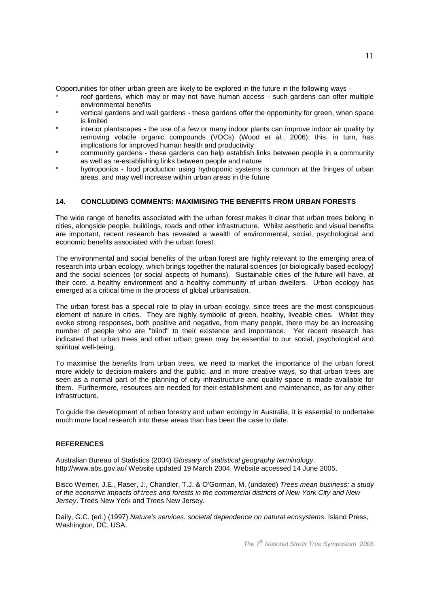Opportunities for other urban green are likely to be explored in the future in the following ways -

- roof gardens, which may or may not have human access such gardens can offer multiple environmental benefits
- vertical gardens and wall gardens these gardens offer the opportunity for green, when space is limited
- interior plantscapes the use of a few or many indoor plants can improve indoor air quality by removing volatile organic compounds (VOCs) (Wood et al., 2006); this, in turn, has implications for improved human health and productivity
- community gardens these gardens can help establish links between people in a community as well as re-establishing links between people and nature
- hydroponics food production using hydroponic systems is common at the fringes of urban areas, and may well increase within urban areas in the future

## **14. CONCLUDING COMMENTS: MAXIMISING THE BENEFITS FROM URBAN FORESTS**

The wide range of benefits associated with the urban forest makes it clear that urban trees belong in cities, alongside people, buildings, roads and other infrastructure. Whilst aesthetic and visual benefits are important, recent research has revealed a wealth of environmental, social, psychological and economic benefits associated with the urban forest.

The environmental and social benefits of the urban forest are highly relevant to the emerging area of research into urban ecology, which brings together the natural sciences (or biologically based ecology) and the social sciences (or social aspects of humans). Sustainable cities of the future will have, at their core, a healthy environment and a healthy community of urban dwellers. Urban ecology has emerged at a critical time in the process of global urbanisation.

The urban forest has a special role to play in urban ecology, since trees are the most conspicuous element of nature in cities. They are highly symbolic of green, healthy, liveable cities. Whilst they evoke strong responses, both positive and negative, from many people, there may be an increasing number of people who are "blind" to their existence and importance. Yet recent research has indicated that urban trees and other urban green may be essential to our social, psychological and spiritual well-being.

To maximise the benefits from urban trees, we need to market the importance of the urban forest more widely to decision-makers and the public, and in more creative ways, so that urban trees are seen as a normal part of the planning of city infrastructure and quality space is made available for them. Furthermore, resources are needed for their establishment and maintenance, as for any other infrastructure.

To guide the development of urban forestry and urban ecology in Australia, it is essential to undertake much more local research into these areas than has been the case to date.

#### **REFERENCES**

Australian Bureau of Statistics (2004) Glossary of statistical geography terminology. http://www.abs.gov.au/ Website updated 19 March 2004. Website accessed 14 June 2005.

Bisco Werner, J.E., Raser, J., Chandler, T.J. & O'Gorman, M. (undated) Trees mean business: a study of the economic impacts of trees and forests in the commercial districts of New York City and New Jersey. Trees New York and Trees New Jersey.

Daily, G.C. (ed.) (1997) Nature's services: societal dependence on natural ecosystems. Island Press, Washington, DC, USA.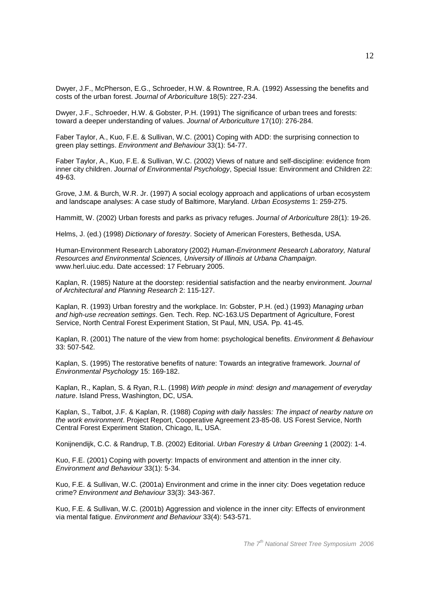Dwyer, J.F., McPherson, E.G., Schroeder, H.W. & Rowntree, R.A. (1992) Assessing the benefits and costs of the urban forest. Journal of Arboriculture 18(5): 227-234.

Dwyer, J.F., Schroeder, H.W. & Gobster, P.H. (1991) The significance of urban trees and forests: toward a deeper understanding of values. Journal of Arboriculture 17(10): 276-284.

Faber Taylor, A., Kuo, F.E. & Sullivan, W.C. (2001) Coping with ADD: the surprising connection to green play settings. Environment and Behaviour 33(1): 54-77.

Faber Taylor, A., Kuo, F.E. & Sullivan, W.C. (2002) Views of nature and self-discipline: evidence from inner city children. Journal of Environmental Psychology, Special Issue: Environment and Children 22: 49-63.

Grove, J.M. & Burch, W.R. Jr. (1997) A social ecology approach and applications of urban ecosystem and landscape analyses: A case study of Baltimore, Maryland. Urban Ecosystems 1: 259-275.

Hammitt, W. (2002) Urban forests and parks as privacy refuges. Journal of Arboriculture 28(1): 19-26.

Helms, J. (ed.) (1998) Dictionary of forestry. Society of American Foresters, Bethesda, USA.

Human-Environment Research Laboratory (2002) Human-Environment Research Laboratory, Natural Resources and Environmental Sciences, University of Illinois at Urbana Champaign. www.herl.uiuc.edu. Date accessed: 17 February 2005.

Kaplan, R. (1985) Nature at the doorstep: residential satisfaction and the nearby environment. Journal of Architectural and Planning Research 2: 115-127.

Kaplan, R. (1993) Urban forestry and the workplace. In: Gobster, P.H. (ed.) (1993) Managing urban and high-use recreation settings. Gen. Tech. Rep. NC-163.US Department of Agriculture, Forest Service, North Central Forest Experiment Station, St Paul, MN, USA. Pp. 41-45.

Kaplan, R. (2001) The nature of the view from home: psychological benefits. Environment & Behaviour 33: 507-542.

Kaplan, S. (1995) The restorative benefits of nature: Towards an integrative framework. Journal of Environmental Psychology 15: 169-182.

Kaplan, R., Kaplan, S. & Ryan, R.L. (1998) With people in mind: design and management of everyday nature. Island Press, Washington, DC, USA.

Kaplan, S., Talbot, J.F. & Kaplan, R. (1988) Coping with daily hassles: The impact of nearby nature on the work environment. Project Report, Cooperative Agreement 23-85-08. US Forest Service, North Central Forest Experiment Station, Chicago, IL, USA.

Konijnendijk, C.C. & Randrup, T.B. (2002) Editorial. Urban Forestry & Urban Greening 1 (2002): 1-4.

Kuo, F.E. (2001) Coping with poverty: Impacts of environment and attention in the inner city. Environment and Behaviour 33(1): 5-34.

Kuo, F.E. & Sullivan, W.C. (2001a) Environment and crime in the inner city: Does vegetation reduce crime? Environment and Behaviour 33(3): 343-367.

Kuo, F.E. & Sullivan, W.C. (2001b) Aggression and violence in the inner city: Effects of environment via mental fatigue. Environment and Behaviour 33(4): 543-571.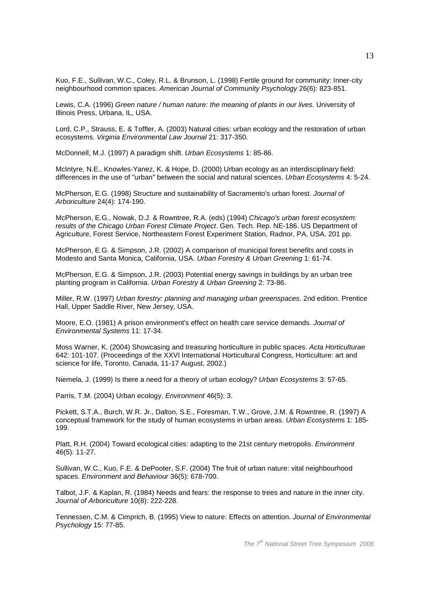Kuo, F.E., Sullivan, W.C., Coley, R.L. & Brunson, L. (1998) Fertile ground for community: Inner-city neighbourhood common spaces. American Journal of Community Psychology 26(6): 823-851.

Lewis, C.A. (1996) Green nature / human nature: the meaning of plants in our lives. University of Illinois Press, Urbana, IL, USA.

Lord, C.P., Strauss, E. & Toffler, A. (2003) Natural cities: urban ecology and the restoration of urban ecosystems. Virginia Environmental Law Journal 21: 317-350.

McDonnell, M.J. (1997) A paradigm shift. Urban Ecosystems 1: 85-86.

McIntyre, N.E., Knowles-Yanez, K. & Hope, D. (2000) Urban ecology as an interdisciplinary field: differences in the use of "urban" between the social and natural sciences. Urban Ecosystems 4: 5-24.

McPherson, E.G. (1998) Structure and sustainability of Sacramento's urban forest. Journal of Arboriculture 24(4): 174-190.

McPherson, E.G., Nowak, D.J. & Rowntree, R.A. (eds) (1994) Chicago's urban forest ecosystem: results of the Chicago Urban Forest Climate Project. Gen. Tech. Rep. NE-186. US Department of Agriculture, Forest Service, Northeastern Forest Experiment Station, Radnor, PA, USA. 201 pp.

McPherson, E.G. & Simpson, J.R. (2002) A comparison of municipal forest benefits and costs in Modesto and Santa Monica, California, USA. Urban Forestry & Urban Greening 1: 61-74.

McPherson, E.G. & Simpson, J.R. (2003) Potential energy savings in buildings by an urban tree planting program in California. Urban Forestry & Urban Greening 2: 73-86.

Miller, R.W. (1997) Urban forestry: planning and managing urban greenspaces. 2nd edition. Prentice Hall, Upper Saddle River, New Jersey, USA.

Moore, E.O. (1981) A prison environment's effect on health care service demands. Journal of Environmental Systems 11: 17-34.

Moss Warner, K. (2004) Showcasing and treasuring horticulture in public spaces. Acta Horticulturae 642: 101-107. (Proceedings of the XXVI International Horticultural Congress, Horticulture: art and science for life, Toronto, Canada, 11-17 August, 2002.)

Niemela, J. (1999) Is there a need for a theory of urban ecology? Urban Ecosystems 3: 57-65.

Parris, T.M. (2004) Urban ecology. Environment 46(5): 3.

Pickett, S.T.A., Burch, W.R. Jr., Dalton, S.E., Foresman, T.W., Grove, J.M. & Rowntree, R. (1997) A conceptual framework for the study of human ecosystems in urban areas. Urban Ecosystems 1: 185-199.

Platt, R.H. (2004) Toward ecological cities: adapting to the 21st century metropolis. Environment 46(5): 11-27.

Sullivan, W.C., Kuo, F.E. & DePooter, S.F. (2004) The fruit of urban nature: vital neighbourhood spaces. Environment and Behaviour 36(5): 678-700.

Talbot, J.F. & Kaplan, R. (1984) Needs and fears: the response to trees and nature in the inner city. Journal of Arboriculture 10(8): 222-228.

Tennessen, C.M. & Cimprich, B. (1995) View to nature: Effects on attention. Journal of Environmental Psychology 15: 77-85.